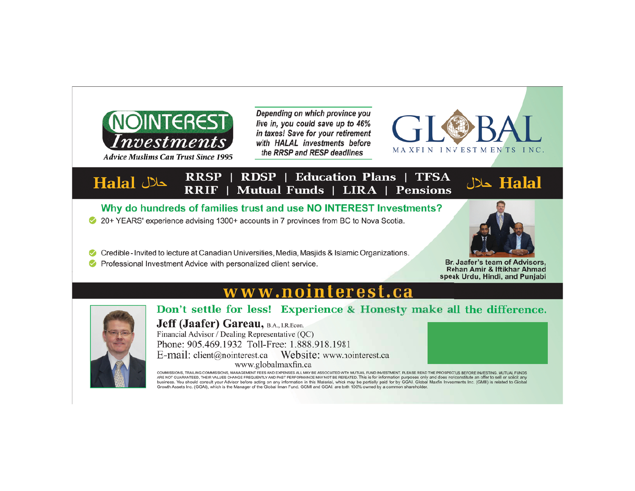

**Advice Muslims Can Trust Since 1995** 

Halal حلال

Depending on which province you live in, you could save up to 46% in taxes! Save for your retirement with HALAL investments before the RRSP and RESP deadlines



### **RRSP** | RDSP | Education Plans | TFSA RRIF | **Mutual Funds | LIRA | Pensions**

Why do hundreds of families trust and use NO INTEREST Investments?

- 20+ YEARS' experience advising 1300+ accounts in 7 provinces from BC to Nova Scotia.
- Credible Invited to lecture at Canadian Universities, Media, Masjids & Islamic Organizations.
- ◆ Professional Investment Advice with personalized client service.



لكلال Halal

Br. Jaafer's team of Advisors, Rehan Amir & Iftikhar Ahmad speak Urdu, Hindi, and Punjabi

# www.nointerest.ca



Don't settle for less! Experience & Honesty make all the difference.

**Jeff (Jaafer) Gareau, B.A., I.R.Econ.** Financial Advisor / Dealing Representative (QC)

Phone: 905.469.1932 Toll-Free: 1.888.918.1981 www.globalmaxfin.ca

COMMISSIONS, TRAILING COMMISSIONS, MANAGEMENT FEES AND EXPENSES ALL MAY BE ASSOCIATED WITH MUTUAL FUND INVESTMENT. PLEASE READ THE PROSPEC"US BEFORE INVESTING. MUTUAL FUNDS<br>ARE NOT GUARANTEED, THEIR VALUES CHANGE FREQUENTL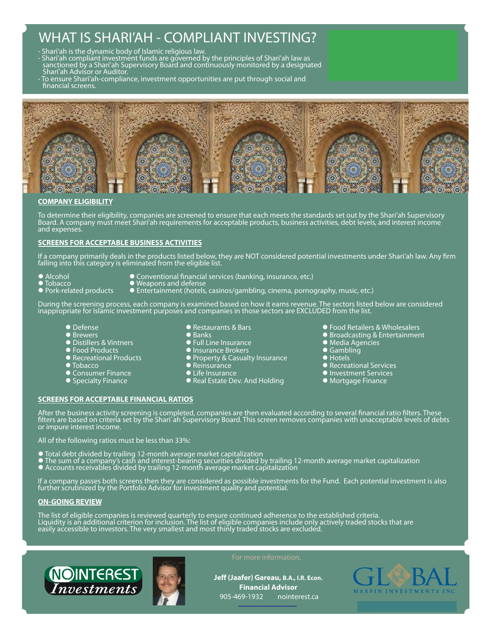# WHAT IS SHARI'AH - COMPLIANT INVESTING?

- Shari'ah is the dynamic body of Islamic religious law.

- Shari'ah compliánt investmént funds are gõverned by the principles of Shari'ah law as sanctioned by a Shari'ah Supervisory Board and continuously monitored by a designated
- Shari'ah Advisor or Auditor. - To ensure Shari'ah-compliance, investment opportunities are put through social and financial screens.



## **COMPANY ELIGIBILITY**

To determine their eligibility, companies are screened to ensure that each meets the standards set out by the Shari'ah Supervisory<br>Board. A company must meet Shari'ah requirements for acceptable products, business activiti and expenses.

## **SCREENS FOR ACCEPTABLE BUSINESS ACTIVITIES**

If a company primarily deals in the products listed below, they are NOT considered potential investments under Shari'ah law. Any firm<br>falling into this category is eliminated from the eligible list.

- 
- -
- Theorion<br>■ Tobacco △ Weapons and defense
- 
- 
- 
- Alcohol Conventional financial services (banking, insurance, etc.)<br>● Tobacco Weapons and defense<br>● Pork-related products Entertainment (hotels, casinos/gambling, cinema, porno • iddacco<br>• Pork-related products • • Entertainment (hotels, casinos/gambling, cinema, pornography, music, etc.)

During the screening process, each company is examined based on how it earns revenue. The sectors listed below are considered inappropriate for Islamic investment purposes and companies in those sectors are EXCLUDED from the list.

- **O** Defense
- **O** Brewers
- **•** Distillers & Vintners
- Food Products
- Recreational Products
- $\bullet$  Tobacco
- **Consumer Finance**
- **Specialty Finance**
- Restaurants & Bars
- Banks
- **•** Full Line Insurance
- Insurance Brokers
- **Property & Casualty Insurance**
- $\bullet$  Reinsurance
- **lacks** Life Insurance
- **Real Estate Dev. And Holding**

#### ● Food Retailers & Wholesalers **• Broadcasting & Entertainment**

- $\bullet$  Media Agencies
- $\bullet$  Gambling
- $\bullet$  Hotels
- **Recreational Services**
- **Investment Services**
- **Mortgage Finance**

After the business activity screening is completed, companies are then evaluated according to several financial ratio filters. These filters are based on criteria set by the Shari`ah Supervisory Board. This screen removes companies with unacceptable levels of debts or impure interest income.

All of the following ratios must be less than 33%:

**SCREENS FOR ACCEPTABLE FINANCIAL RATIOS**

- l Total debt divided by trailing 12-month average market capitalization
- l The sum of a company's cash and interest-bearing securities divided by trailing 12-month average market capitalization
- l Accounts receivables divided by trailing 12-month average market capitalization

If a company passes both screens then they are considered as possible investments for the Fund. Each potential investment is also further scrutinized by the Portfolio Advisor for investment quality and potential.

## **ON-GOING REVIEW**

The list of eligible companies is reviewed quarterly to ensure continued adherence to the established criteria. Liquidity is an additional criterion for inclusion. The list of eligible companies include only actively traded stocks that are easily accessible to investors. The very smallest and most thinly traded stocks are excluded.





Jeff (Jaafer) Gareau, B.A., I.R. Econ. **Financial Advisor** 905-469-1932 nointerest.ca

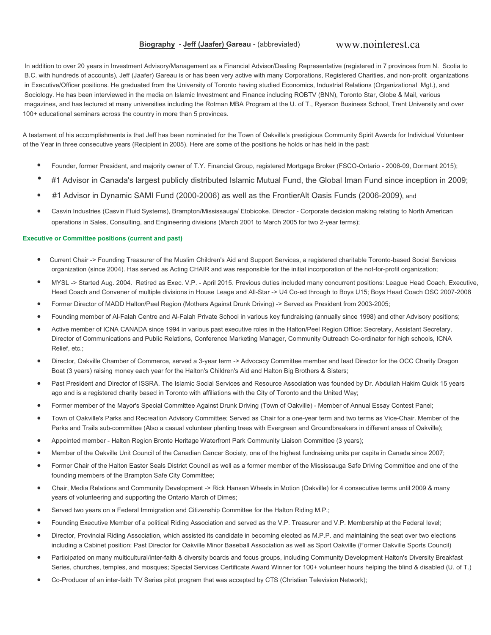## Biography - Jeff (Jaafer) Gareau - (abbreviated)

# www.nointerest.ca

In addition to over 20 years in Investment Advisory/Management as a Financial Advisor/Dealing Representative (registered in 7 provinces from N. Scotia to B.C. with hundreds of accounts), Jeff (Jaafer) Gareau is or has been very active with many Corporations, Registered Charities, and non-profit organizations in Executive/Officer positions. He graduated from the University of Toronto having studied Economics, Industrial Relations (Organizational Mgt.), and Sociology. He has been interviewed in the media on Islamic Investment and Finance including ROBTV (BNN), Toronto Star, Globe & Mail, various magazines, and has lectured at many universities including the Rotman MBA Program at the U. of T., Ryerson Business School, Trent University and over 100+ educational seminars across the country in more than 5 provinces.

A testament of his accomplishments is that Jeff has been nominated for the Town of Oakville's prestigious Community Spirit Awards for Individual Volunteer of the Year in three consecutive years (Recipient in 2005). Here are some of the positions he holds or has held in the past:

- Founder, former President, and majority owner of T.Y. Financial Group, registered Mortgage Broker (FSCO-Ontario 2006-09, Dormant 2015);
- #1 Advisor in Canada's largest publicly distributed Islamic Mutual Fund, the Global Iman Fund since inception in 2009;
- #1 Advisor in Dynamic SAMI Fund (2000-2006) as well as the FrontierAlt Oasis Funds (2006-2009), and  $\bullet$
- Casvin Industries (Casvin Fluid Systems), Brampton/Mississauga/ Etobicoke. Director Corporate decision making relating to North American  $\bullet$ operations in Sales, Consulting, and Engineering divisions (March 2001 to March 2005 for two 2-year terms);

### **Executive or Committee positions (current and past)**

- Current Chair -> Founding Treasurer of the Muslim Children's Aid and Support Services, a registered charitable Toronto-based Social Services organization (since 2004). Has served as Acting CHAIR and was responsible for the initial incorporation of the not-for-profit organization;
- MYSL -> Started Aug. 2004. Retired as Exec. V.P. April 2015. Previous duties included many concurrent positions: League Head Coach, Executive, Head Coach and Convener of multiple divisions in House Leage and All-Star -> U4 Co-ed through to Boys U15; Boys Head Coach OSC 2007-2008
- Former Director of MADD Halton/Peel Region (Mothers Against Drunk Driving) -> Served as President from 2003-2005;
- Founding member of Al-Falah Centre and Al-Falah Private School in various key fundraising (annually since 1998) and other Advisory positions;
- Active member of ICNA CANADA since 1994 in various past executive roles in the Halton/Peel Region Office: Secretary, Assistant Secretary, Director of Communications and Public Relations, Conference Marketing Manager, Community Outreach Co-ordinator for high schools, ICNA Relief, etc.;
- Director, Oakville Chamber of Commerce, served a 3-year term -> Advocacy Committee member and lead Director for the OCC Charity Dragon  $\blacksquare$ Boat (3 years) raising money each year for the Halton's Children's Aid and Halton Big Brothers & Sisters;
- Past President and Director of ISSRA. The Islamic Social Services and Resource Association was founded by Dr. Abdullah Hakim Quick 15 years ago and is a registered charity based in Toronto with affiliations with the City of Toronto and the United Way;
- Former member of the Mayor's Special Committee Against Drunk Driving (Town of Oakville) Member of Annual Essay Contest Panel;
- Town of Oakville's Parks and Recreation Advisory Committee; Served as Chair for a one-year term and two terms as Vice-Chair. Member of the  $\blacksquare$ Parks and Trails sub-committee (Also a casual volunteer planting trees with Evergreen and Groundbreakers in different areas of Oakville);
- Appointed member Halton Region Bronte Heritage Waterfront Park Community Liaison Committee (3 years);
- Member of the Oakville Unit Council of the Canadian Cancer Society, one of the highest fundraising units per capita in Canada since 2007;
- Former Chair of the Halton Easter Seals District Council as well as a former member of the Mississauga Safe Driving Committee and one of the founding members of the Brampton Safe City Committee;
- Chair, Media Relations and Community Development -> Rick Hansen Wheels in Motion (Oakville) for 4 consecutive terms until 2009 & many  $\bullet$ years of volunteering and supporting the Ontario March of Dimes;
- Served two years on a Federal Immigration and Citizenship Committee for the Halton Riding M.P.;
- Founding Executive Member of a political Riding Association and served as the V.P. Treasurer and V.P. Membership at the Federal level;
- Director, Provincial Riding Association, which assisted its candidate in becoming elected as M.P.P. and maintaining the seat over two elections including a Cabinet position; Past Director for Oakville Minor Baseball Association as well as Sport Oakville (Former Oakville Sports Council)
- Participated on many multicultural/inter-faith & diversity boards and focus groups, including Community Development Halton's Diversity Breakfast Series, churches, temples, and mosques; Special Services Certificate Award Winner for 100+ volunteer hours helping the blind & disabled (U. of T.)
- Co-Producer of an inter-faith TV Series pilot program that was accepted by CTS (Christian Television Network);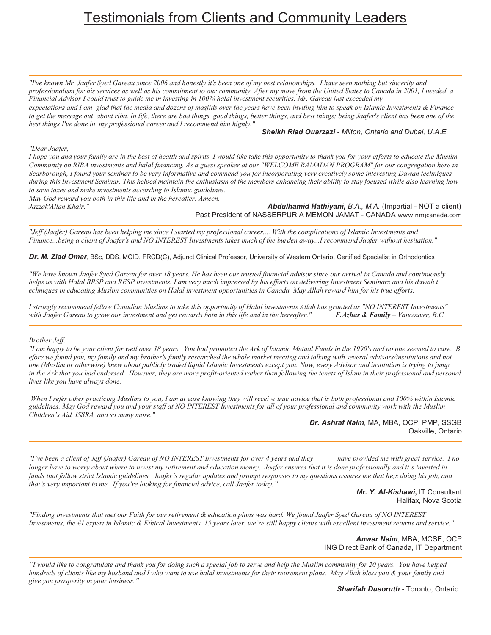# **Testimonials from Clients and Community Leaders**

"I've known Mr. Jaafer Syed Gareau since 2006 and honestly it's been one of my best relationships. I have seen nothing but sincerity and professionalism for his services as well as his commitment to our community. After my move from the United States to Canada in 2001, I needed a Financial Advisor I could trust to guide me in investing in 100% halal investment securities. Mr. Gareau just exceeded my expectations and I am glad that the media and dozens of masjids over the years have been inviting him to speak on Islamic Investments  $\&$  Finance to get the message out about riba. In life, there are bad things, good things, better things, and best things; being Jaafer's client has been one of the best things I've done in my professional career and I recommend him highly."

Sheikh Riad Ouarzazi - Milton, Ontario and Dubai, U.A.E.

### "Dear Jaafer.

I hope you and your family are in the best of health and spirits. I would like take this opportunity to thank you for your efforts to educate the Muslim Community on RIBA investments and halal financing. As a guest speaker at our "WELCOME RAMADAN PROGRAM" for our congregation here in Scarborough, I found your seminar to be very informative and commend you for incorporating very creatively some interesting Dawah techniques during this Investment Seminar. This helped maintain the enthusiasm of the members enhancing their ability to stay focused while also learning how to save taxes and make investments according to Islamic guidelines.

May God reward you both in this life and in the hereafter. Ameen. Jazzak'Allah Khair."

Abdulhamid Hathiyani, B.A., M.A. (Impartial - NOT a client) Past President of NASSERPURIA MEMON JAMAT - CANADA www.nmjcanada.com

"Jeff (Jaafer) Gareau has been helping me since I started my professional career.... With the complications of Islamic Investments and Finance...being a client of Jaafer's and NO INTEREST Investments takes much of the burden away...I recommend Jaafer without hesitation."

Dr. M. Ziad Omar, BSc, DDS, MCID, FRCD(C), Adjunct Clinical Professor, University of Western Ontario, Certified Specialist in Orthodontics

"We have known Jaafer Syed Gareau for over 18 years. He has been our trusted financial advisor since our arrival in Canada and continuously helps us with Halal RRSP and RESP investments. I am very much impressed by his efforts on delivering Investment Seminars and his dawah t echniques in educating Muslim communities on Halal investment opportunities in Canada. May Allah reward him for his true efforts.

I strongly recommend fellow Canadian Muslims to take this opportunity of Halal investments Allah has granted as "NO INTEREST Investments" with Jaafer Gareau to grow our investment and get rewards both in this life and in the hereafter." **F.Azhar & Family** - Vancouver, B.C.

### Brother Jeff,

"I am happy to be your client for well over 18 years. You had promoted the Ark of Islamic Mutual Funds in the 1990's and no one seemed to care. B efore we found you, my family and my brother's family researched the whole market meeting and talking with several advisors/institutions and not one (Muslim or otherwise) knew about publicly traded liquid Islamic Investments except you. Now, every Advisor and institution is trying to jump in the Ark that you had endorsed. However, they are more profit-oriented rather than following the tenets of Islam in their professional and personal lives like you have always done.

When I refer other practicing Muslims to you, I am at ease knowing they will receive true advice that is both professional and 100% within Islamic guidelines. May God reward you and your staff at NO INTEREST Investments for all of your professional and community work with the Muslim Children's Aid, ISSRA, and so many more."

Dr. Ashraf Naim, MA, MBA, OCP, PMP, SSGB Oakville, Ontario

"I've been a client of Jeff (Jaafer) Gareau of NO INTEREST Investments for over 4 years and they have provided me with great service. I no longer have to worry about where to invest my retirement and education money. Jaafer ensures that it is done professionally and it's invested in funds that follow strict Islamic guidelines. Jaafer's regular updates and prompt responses to my questions assures me that he;s doing his job, and that's very important to me. If you're looking for financial advice, call Jaafer today."

> Mr. Y. Al-Kishawi, IT Consultant Halifax, Nova Scotia

"Finding investments that met our Faith for our retirement & education plans was hard. We found Jaafer Syed Gareau of NO INTEREST Investments, the #1 expert in Islamic & Ethical Investments. 15 years later, we're still happy clients with excellent investment returns and service."

> Anwar Naim, MBA, MCSE, OCP ING Direct Bank of Canada, IT Department

"I would like to congratulate and thank you for doing such a special job to serve and help the Muslim community for 20 years. You have helped hundreds of clients like my husband and I who want to use halal investments for their retirement plans. May Allah bless you & your family and give you prosperity in your business."

**Sharifah Dusoruth - Toronto, Ontario**